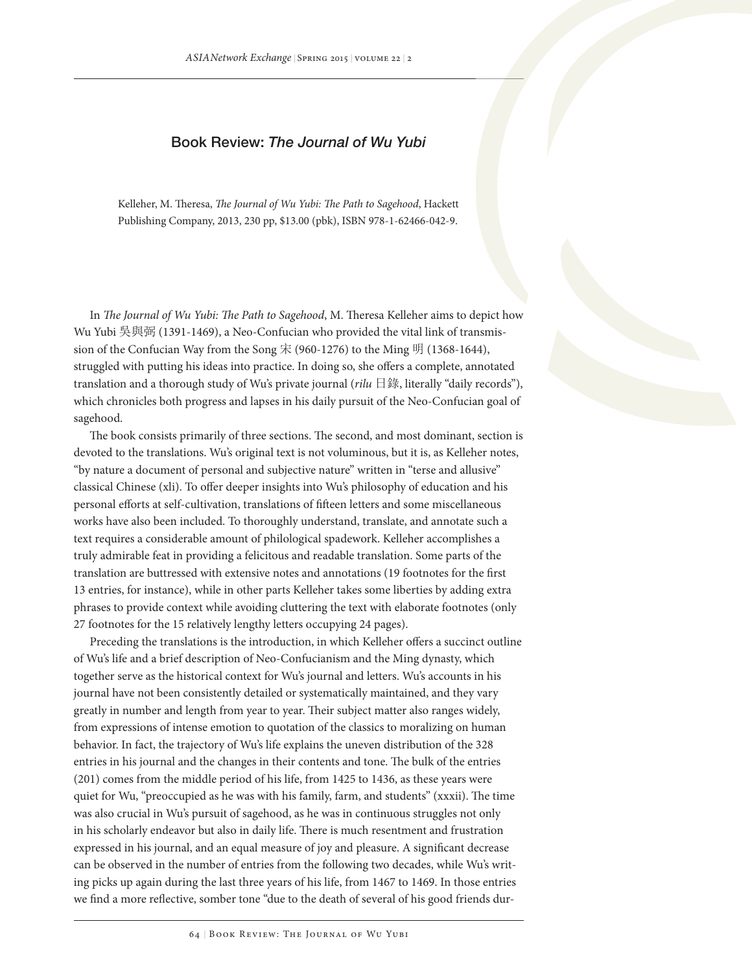## Book Review: *The Journal of Wu Yubi*

Kelleher, M. Theresa, *The Journal of Wu Yubi: The Path to Sagehood*, Hackett Publishing Company, 2013, 230 pp, \$13.00 (pbk), ISBN 978-1-62466-042-9.

In *The Journal of Wu Yubi: The Path to Sagehood*, M. Theresa Kelleher aims to depict how Wu Yubi 吳與弼 (1391-1469), a Neo-Confucian who provided the vital link of transmission of the Confucian Way from the Song 宋 (960-1276) to the Ming 明 (1368-1644), struggled with putting his ideas into practice. In doing so, she offers a complete, annotated translation and a thorough study of Wu's private journal (*rilu* 日錄, literally "daily records"), which chronicles both progress and lapses in his daily pursuit of the Neo-Confucian goal of sagehood.

The book consists primarily of three sections. The second, and most dominant, section is devoted to the translations. Wu's original text is not voluminous, but it is, as Kelleher notes, "by nature a document of personal and subjective nature" written in "terse and allusive" classical Chinese (xli). To offer deeper insights into Wu's philosophy of education and his personal efforts at self-cultivation, translations of fifteen letters and some miscellaneous works have also been included. To thoroughly understand, translate, and annotate such a text requires a considerable amount of philological spadework. Kelleher accomplishes a truly admirable feat in providing a felicitous and readable translation. Some parts of the translation are buttressed with extensive notes and annotations (19 footnotes for the first 13 entries, for instance), while in other parts Kelleher takes some liberties by adding extra phrases to provide context while avoiding cluttering the text with elaborate footnotes (only 27 footnotes for the 15 relatively lengthy letters occupying 24 pages).

Preceding the translations is the introduction, in which Kelleher offers a succinct outline of Wu's life and a brief description of Neo-Confucianism and the Ming dynasty, which together serve as the historical context for Wu's journal and letters. Wu's accounts in his journal have not been consistently detailed or systematically maintained, and they vary greatly in number and length from year to year. Their subject matter also ranges widely, from expressions of intense emotion to quotation of the classics to moralizing on human behavior. In fact, the trajectory of Wu's life explains the uneven distribution of the 328 entries in his journal and the changes in their contents and tone. The bulk of the entries (201) comes from the middle period of his life, from 1425 to 1436, as these years were quiet for Wu, "preoccupied as he was with his family, farm, and students" (xxxii). The time was also crucial in Wu's pursuit of sagehood, as he was in continuous struggles not only in his scholarly endeavor but also in daily life. There is much resentment and frustration expressed in his journal, and an equal measure of joy and pleasure. A significant decrease can be observed in the number of entries from the following two decades, while Wu's writing picks up again during the last three years of his life, from 1467 to 1469. In those entries we find a more reflective, somber tone "due to the death of several of his good friends dur